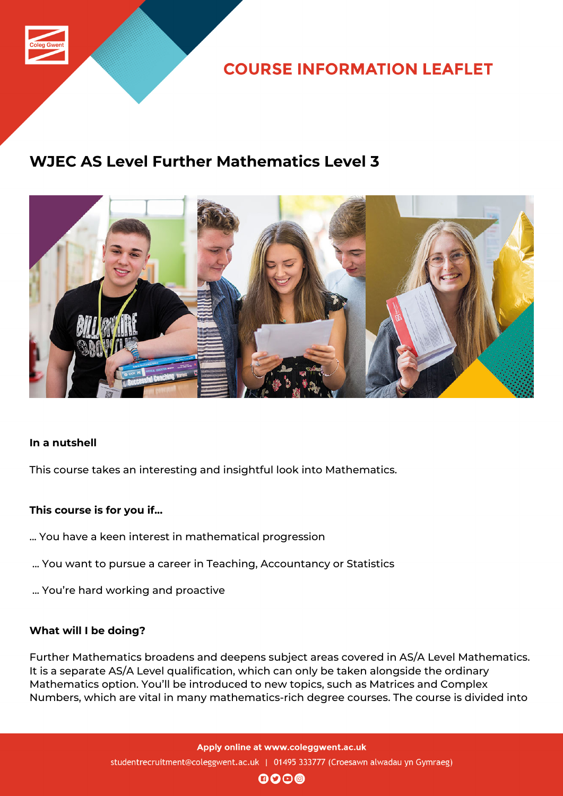

**COURSE INFORMATION LEAFLET** 

# **WJEC AS Level Further Mathematics Level 3**



### **In a nutshell**

This course takes an interesting and insightful look into Mathematics.

## **This course is for you if...**

- ... You have a keen interest in mathematical progression
- ... You want to pursue a career in Teaching, Accountancy or Statistics
- ... You're hard working and proactive

### **What will I be doing?**

Further Mathematics broadens and deepens subject areas covered in AS/A Level Mathematics. It is a separate AS/A Level qualification, which can only be taken alongside the ordinary Mathematics option. You'll be introduced to new topics, such as Matrices and Complex Numbers, which are vital in many mathematics-rich degree courses. The course is divided into

> Apply online at www.coleggwent.ac.uk studentrecruitment@coleggwent.ac.uk | 01495 333777 (Croesawn alwadau yn Gymraeg)